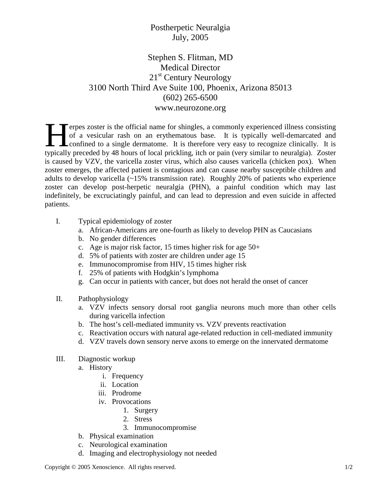## Postherpetic Neuralgia July, 2005

## Stephen S. Flitman, MD Medical Director 21<sup>st</sup> Century Neurology 3100 North Third Ave Suite 100, Phoenix, Arizona 85013 (602) 265-6500 www.neurozone.org

erpes zoster is the official name for shingles, a commonly experienced illness consisting of a vesicular rash on an erythematous base. It is typically well-demarcated and confined to a single dermatome. It is therefore very easy to recognize clinically. It is Terpes zoster is the official name for shingles, a commonly experienced illness consisting of a vesicular rash on an erythematous base. It is typically well-demarcated and confined to a single dermatome. It is therefore ve is caused by VZV, the varicella zoster virus, which also causes varicella (chicken pox). When zoster emerges, the affected patient is contagious and can cause nearby susceptible children and adults to develop varicella (~15% transmission rate). Roughly 20% of patients who experience zoster can develop post-herpetic neuralgia (PHN), a painful condition which may last indefinitely, be excruciatingly painful, and can lead to depression and even suicide in affected patients.

- I. Typical epidemiology of zoster
	- a. African-Americans are one-fourth as likely to develop PHN as Caucasians
	- b. No gender differences
	- c. Age is major risk factor, 15 times higher risk for age 50+
	- d. 5% of patients with zoster are children under age 15
	- e. Immunocompromise from HIV, 15 times higher risk
	- f. 25% of patients with Hodgkin's lymphoma
	- g. Can occur in patients with cancer, but does not herald the onset of cancer
- II. Pathophysiology
	- a. VZV infects sensory dorsal root ganglia neurons much more than other cells during varicella infection
	- b. The host's cell-mediated immunity vs. VZV prevents reactivation
	- c. Reactivation occurs with natural age-related reduction in cell-mediated immunity
	- d. VZV travels down sensory nerve axons to emerge on the innervated dermatome

## III. Diagnostic workup

- a. History
	- i. Frequency
	- ii. Location
	- iii. Prodrome
	- iv. Provocations
		- 1. Surgery
		- 2. Stress
		- 3. Immunocompromise
- b. Physical examination
- c. Neurological examination
- d. Imaging and electrophysiology not needed